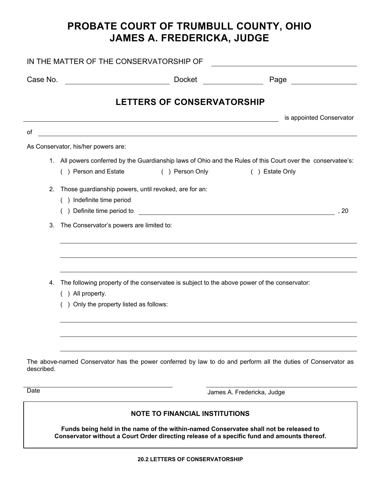## **PROBATE COURT OF TRUMBULL COUNTY, OHIO JAMES A. FREDERICKA, JUDGE**

| IN THE MATTER OF THE CONSERVATORSHIP OF |                                                                                                                                                                          |
|-----------------------------------------|--------------------------------------------------------------------------------------------------------------------------------------------------------------------------|
| Case No.                                | Docket<br>Page <b>Exercise Service</b> Service Service Service Service Service Service Service Service Service Service Service S                                         |
|                                         | <b>LETTERS OF CONSERVATORSHIP</b>                                                                                                                                        |
|                                         | is appointed Conservator                                                                                                                                                 |
| of                                      | <u> 1980 - Johann Barn, mars ann an t-Amhain Aonaich an t-Aonaich an t-Aonaich ann an t-Aonaich ann an t-Aonaich</u>                                                     |
|                                         | As Conservator, his/her powers are:                                                                                                                                      |
|                                         | 1. All powers conferred by the Guardianship laws of Ohio and the Rules of this Court over the conservatee's:<br>() Person and Estate<br>() Person Only<br>() Estate Only |
| 2.                                      | Those guardianship powers, until revoked, are for an:                                                                                                                    |
|                                         | () Indefinite time period                                                                                                                                                |
|                                         | () Definite time period to<br>, 20<br><u> 1980 - Andrea Stadt, fransk politik (d. 1980)</u>                                                                              |
| 3.                                      | The Conservator's powers are limited to:                                                                                                                                 |
|                                         |                                                                                                                                                                          |
| 4.                                      | The following property of the conservatee is subject to the above power of the conservator:<br>() All property.                                                          |
|                                         | () Only the property listed as follows:                                                                                                                                  |
|                                         |                                                                                                                                                                          |
| described.                              | The above-named Conservator has the power conferred by law to do and perform all the duties of Conservator as                                                            |
| Date                                    | James A. Fredericka, Judge                                                                                                                                               |
|                                         | <b>NOTE TO FINANCIAL INSTITUTIONS</b>                                                                                                                                    |

**Funds being held in the name of the within-named Conservatee shall not be released to Conservator without a Court Order directing release of a specific fund and amounts thereof.**